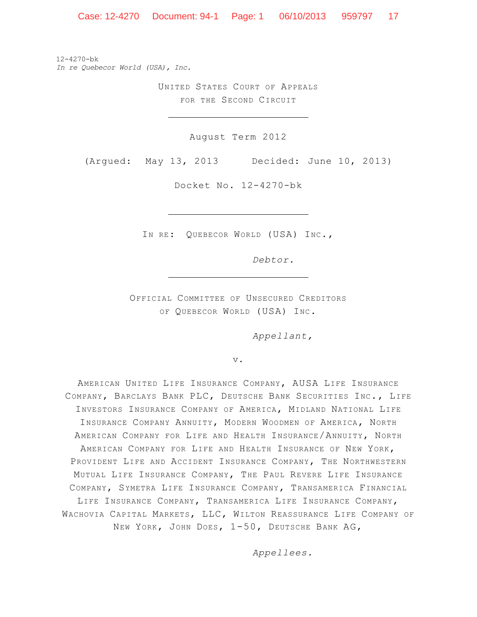Case: 12-4270 Document: 94-1 Page: 1 06/10/2013 959797 17

12-4270-bk *In re Quebecor World (USA), Inc.*

> UNITED STATES COURT OF APPEALS FOR THE SECOND CIRCUIT

> > August Term 2012

(Argued: May 13, 2013 Decided: June 10, 2013)

Docket No. 12-4270-bk

IN RE: QUEBECOR WORLD (USA) INC.,

*Debtor.*

OFFICIAL COMMITTEE OF UNSECURED CREDITORS OF QUEBECOR WORLD (USA) INC.

*Appellant,*

v.

AMERICAN UNITED LIFE INSURANCE COMPANY, AUSA LIFE INSURANCE COMPANY, BARCLAYS BANK PLC, DEUTSCHE BANK SECURITIES INC., LIFE INVESTORS INSURANCE COMPANY OF AMERICA, MIDLAND NATIONAL LIFE INSURANCE COMPANY ANNUITY, MODERN WOODMEN OF AMERICA, NORTH AMERICAN COMPANY FOR LIFE AND HEALTH INSURANCE/ANNUITY, NORTH AMERICAN COMPANY FOR LIFE AND HEALTH INSURANCE OF NEW YORK, PROVIDENT LIFE AND ACCIDENT INSURANCE COMPANY, THE NORTHWESTERN MUTUAL LIFE INSURANCE COMPANY, THE PAUL REVERE LIFE INSURANCE COMPANY, SYMETRA LIFE INSURANCE COMPANY, TRANSAMERICA FINANCIAL LIFE INSURANCE COMPANY, TRANSAMERICA LIFE INSURANCE COMPANY, WACHOVIA CAPITAL MARKETS, LLC, WILTON REASSURANCE LIFE COMPANY OF NEW YORK, JOHN DOES, 1-50, DEUTSCHE BANK AG,

*Appellees.*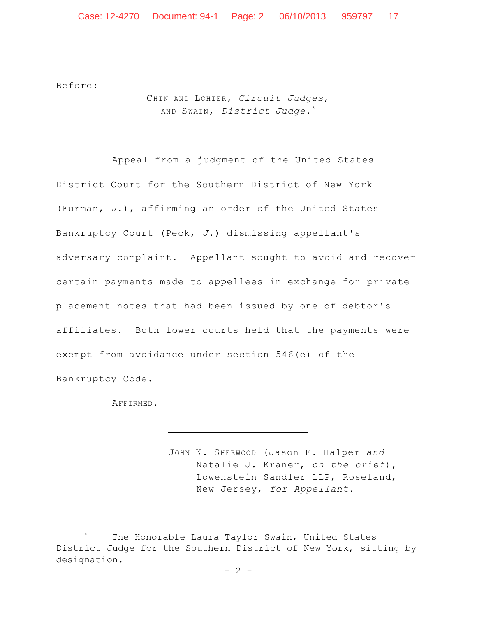Before:

CHIN AND LOHIER, *Circuit Judges*, AND SWAIN, *District Judge*. \*

Appeal from a judgment of the United States District Court for the Southern District of New York (Furman, *J.*), affirming an order of the United States Bankruptcy Court (Peck, *J.*) dismissing appellant's adversary complaint. Appellant sought to avoid and recover certain payments made to appellees in exchange for private placement notes that had been issued by one of debtor's affiliates. Both lower courts held that the payments were exempt from avoidance under section 546(e) of the Bankruptcy Code.

AFFIRMED.

 $\overline{a}$ 

JOHN K. SHERWOOD (Jason E. Halper *and* Natalie J. Kraner, *on the brief*), Lowenstein Sandler LLP, Roseland, New Jersey, *for Appellant.*

The Honorable Laura Taylor Swain, United States District Judge for the Southern District of New York, sitting by designation.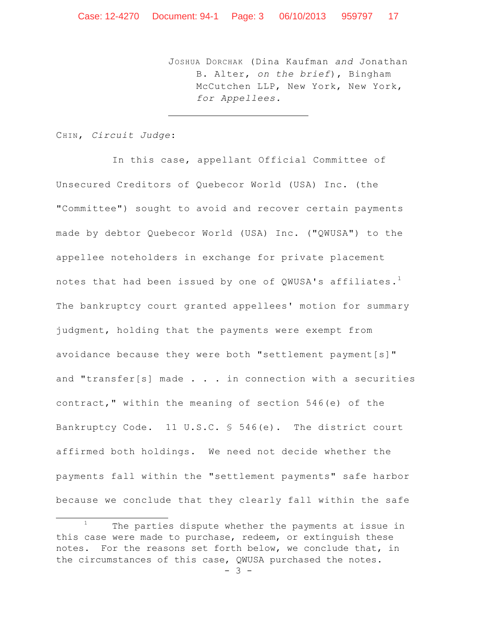JOSHUA DORCHAK (Dina Kaufman *and* Jonathan B. Alter, *on the brief*), Bingham McCutchen LLP, New York, New York, *for Appellees.*

CHIN, *Circuit Judge*:

 $\overline{\phantom{a}}$ 

In this case, appellant Official Committee of Unsecured Creditors of Quebecor World (USA) Inc. (the "Committee") sought to avoid and recover certain payments made by debtor Quebecor World (USA) Inc. ("QWUSA") to the appellee noteholders in exchange for private placement notes that had been issued by one of QWUSA's affiliates. $^{\rm l}$ The bankruptcy court granted appellees' motion for summary judgment, holding that the payments were exempt from avoidance because they were both "settlement payment[s]" and "transfer[s] made  $\ldots$  . in connection with a securities contract," within the meaning of section 546(e) of the Bankruptcy Code. 11 U.S.C. § 546(e). The district court affirmed both holdings. We need not decide whether the payments fall within the "settlement payments" safe harbor because we conclude that they clearly fall within the safe

 $1$  The parties dispute whether the payments at issue in this case were made to purchase, redeem, or extinguish these notes. For the reasons set forth below, we conclude that, in the circumstances of this case, QWUSA purchased the notes.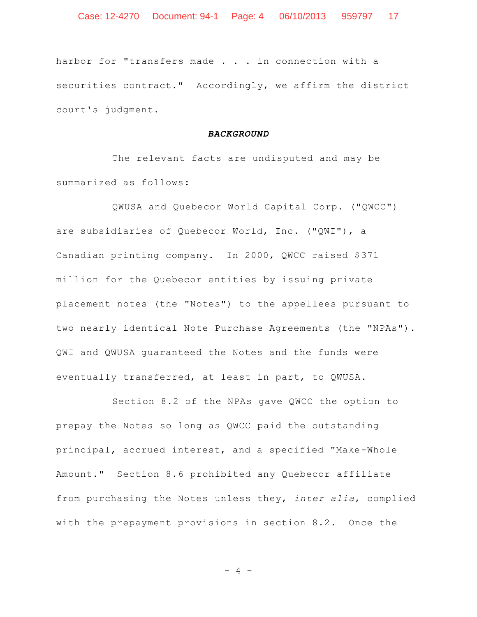harbor for "transfers made . . . in connection with a securities contract." Accordingly, we affirm the district court's judgment.

#### *BACKGROUND*

The relevant facts are undisputed and may be summarized as follows:

QWUSA and Quebecor World Capital Corp. ("QWCC") are subsidiaries of Quebecor World, Inc. ("QWI"), a Canadian printing company. In 2000, QWCC raised \$371 million for the Quebecor entities by issuing private placement notes (the "Notes") to the appellees pursuant to two nearly identical Note Purchase Agreements (the "NPAs"). QWI and QWUSA guaranteed the Notes and the funds were eventually transferred, at least in part, to QWUSA.

Section 8.2 of the NPAs gave QWCC the option to prepay the Notes so long as QWCC paid the outstanding principal, accrued interest, and a specified "Make-Whole Amount." Section 8.6 prohibited any Quebecor affiliate from purchasing the Notes unless they, *inter alia*, complied with the prepayment provisions in section 8.2. Once the

 $-4 -$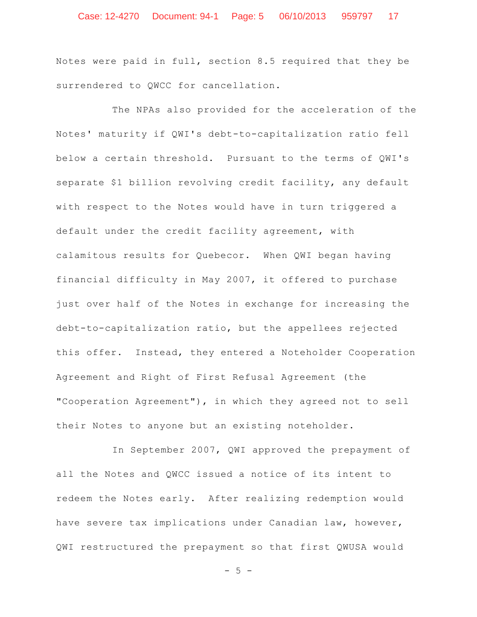## Case: 12-4270 Document: 94-1 Page: 5 06/10/2013 959797 17

Notes were paid in full, section 8.5 required that they be surrendered to QWCC for cancellation.

The NPAs also provided for the acceleration of the Notes' maturity if QWI's debt-to-capitalization ratio fell below a certain threshold. Pursuant to the terms of QWI's separate \$1 billion revolving credit facility, any default with respect to the Notes would have in turn triggered a default under the credit facility agreement, with calamitous results for Quebecor. When QWI began having financial difficulty in May 2007, it offered to purchase just over half of the Notes in exchange for increasing the debt-to-capitalization ratio, but the appellees rejected this offer. Instead, they entered a Noteholder Cooperation Agreement and Right of First Refusal Agreement (the "Cooperation Agreement"), in which they agreed not to sell their Notes to anyone but an existing noteholder.

In September 2007, QWI approved the prepayment of all the Notes and QWCC issued a notice of its intent to redeem the Notes early. After realizing redemption would have severe tax implications under Canadian law, however, QWI restructured the prepayment so that first QWUSA would

 $-5 -$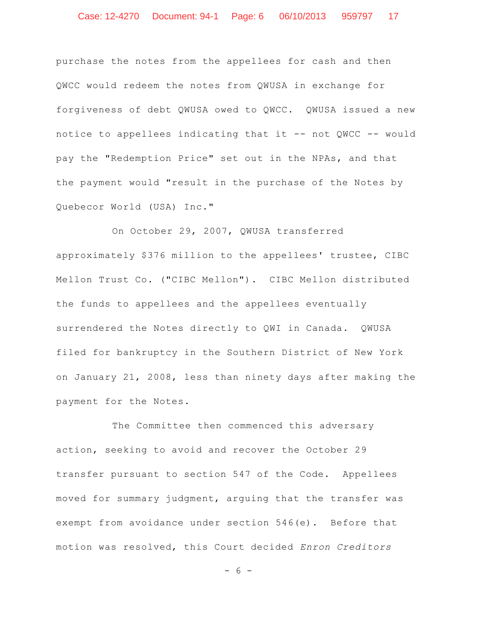purchase the notes from the appellees for cash and then QWCC would redeem the notes from QWUSA in exchange for forgiveness of debt QWUSA owed to QWCC. QWUSA issued a new notice to appellees indicating that it -- not QWCC -- would pay the "Redemption Price" set out in the NPAs, and that the payment would "result in the purchase of the Notes by Quebecor World (USA) Inc."

On October 29, 2007, QWUSA transferred approximately \$376 million to the appellees' trustee, CIBC Mellon Trust Co. ("CIBC Mellon"). CIBC Mellon distributed the funds to appellees and the appellees eventually surrendered the Notes directly to QWI in Canada. QWUSA filed for bankruptcy in the Southern District of New York on January 21, 2008, less than ninety days after making the payment for the Notes.

The Committee then commenced this adversary action, seeking to avoid and recover the October 29 transfer pursuant to section 547 of the Code. Appellees moved for summary judgment, arguing that the transfer was exempt from avoidance under section 546(e). Before that motion was resolved, this Court decided *Enron Creditors* 

 $- 6 -$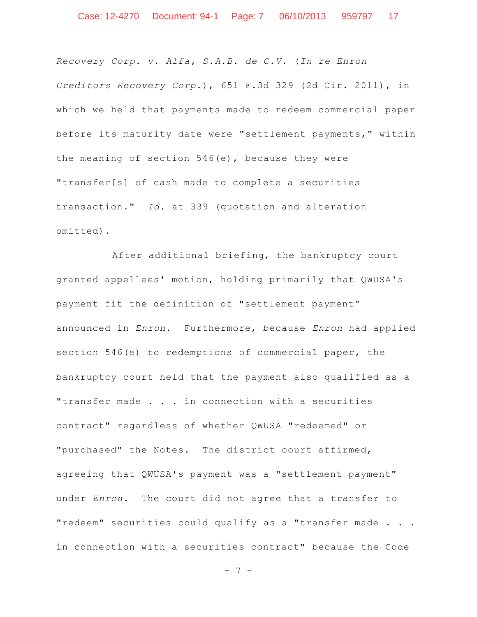*Recovery Corp. v. Alfa, S.A.B. de C.V.* (*In re Enron Creditors Recovery Corp.*), 651 F.3d 329 (2d Cir. 2011), in which we held that payments made to redeem commercial paper before its maturity date were "settlement payments," within the meaning of section 546(e), because they were "transfer[s] of cash made to complete a securities transaction." *Id.* at 339 (quotation and alteration omitted).

After additional briefing, the bankruptcy court granted appellees' motion, holding primarily that QWUSA's payment fit the definition of "settlement payment" announced in *Enron*. Furthermore, because *Enron* had applied section 546(e) to redemptions of commercial paper, the bankruptcy court held that the payment also qualified as a "transfer made . . . in connection with a securities contract" regardless of whether QWUSA "redeemed" or "purchased" the Notes. The district court affirmed, agreeing that QWUSA's payment was a "settlement payment" under *Enron*. The court did not agree that a transfer to "redeem" securities could qualify as a "transfer made . . . in connection with a securities contract" because the Code

- 7 -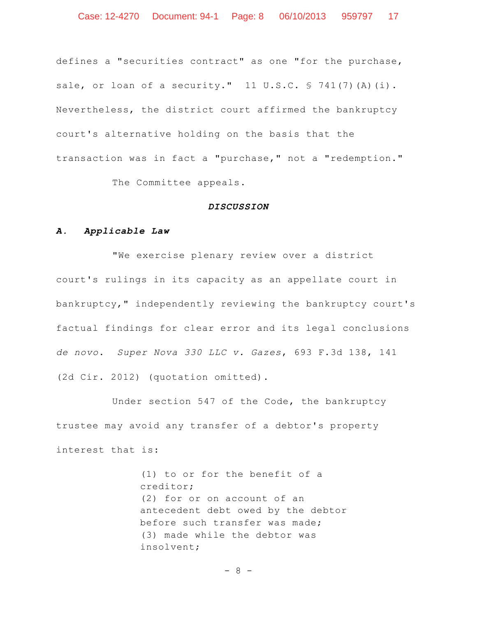defines a "securities contract" as one "for the purchase, sale, or loan of a security." 11 U.S.C. § 741(7)(A)(i). Nevertheless, the district court affirmed the bankruptcy court's alternative holding on the basis that the transaction was in fact a "purchase," not a "redemption."

The Committee appeals.

#### *DISCUSSION*

## *A. Applicable Law*

"We exercise plenary review over a district court's rulings in its capacity as an appellate court in bankruptcy," independently reviewing the bankruptcy court's factual findings for clear error and its legal conclusions *de novo*. *Super Nova 330 LLC v. Gazes*, 693 F.3d 138, 141 (2d Cir. 2012) (quotation omitted).

Under section 547 of the Code, the bankruptcy trustee may avoid any transfer of a debtor's property interest that is:

> (1) to or for the benefit of a creditor; (2) for or on account of an antecedent debt owed by the debtor before such transfer was made; (3) made while the debtor was insolvent;

> > - 8 -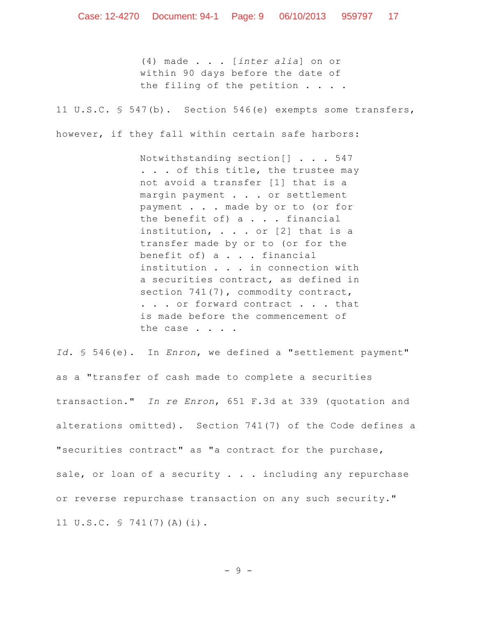(4) made . . . [*inter alia*] on or within 90 days before the date of the filing of the petition . . . .

11 U.S.C. § 547(b). Section 546(e) exempts some transfers,

however, if they fall within certain safe harbors:

Notwithstanding section[] . . . 547 . . . of this title, the trustee may not avoid a transfer [1] that is a margin payment . . . or settlement payment . . . made by or to (or for the benefit of) a . . . financial institution, . . . or [2] that is a transfer made by or to (or for the benefit of) a . . . financial institution . . . in connection with a securities contract, as defined in section 741(7), commodity contract, . . . or forward contract . . . that is made before the commencement of the case . . . .

*Id.* § 546(e). In *Enron*, we defined a "settlement payment" as a "transfer of cash made to complete a securities transaction." *In re Enron*, 651 F.3d at 339 (quotation and alterations omitted). Section 741(7) of the Code defines a "securities contract" as "a contract for the purchase, sale, or loan of a security . . . including any repurchase or reverse repurchase transaction on any such security." 11 U.S.C. § 741(7)(A)(i).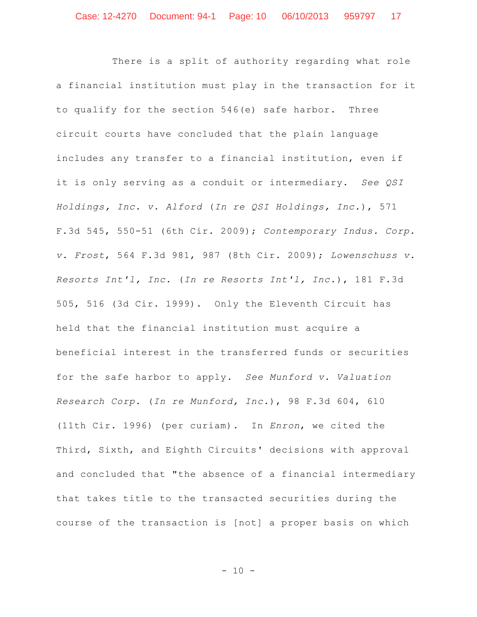There is a split of authority regarding what role a financial institution must play in the transaction for it to qualify for the section 546(e) safe harbor. Three circuit courts have concluded that the plain language includes any transfer to a financial institution, even if it is only serving as a conduit or intermediary. *See QSI Holdings, Inc. v. Alford* (*In re QSI Holdings, Inc.*), 571 F.3d 545, 550-51 (6th Cir. 2009); *Contemporary Indus. Corp. v. Frost*, 564 F.3d 981, 987 (8th Cir. 2009); *Lowenschuss v. Resorts Int'l, Inc.* (*In re Resorts Int'l, Inc.*), 181 F.3d 505, 516 (3d Cir. 1999). Only the Eleventh Circuit has held that the financial institution must acquire a beneficial interest in the transferred funds or securities for the safe harbor to apply. *See Munford v. Valuation Research Corp.* (*In re Munford, Inc.*), 98 F.3d 604, 610 (11th Cir. 1996) (per curiam). In *Enron*, we cited the Third, Sixth, and Eighth Circuits' decisions with approval and concluded that "the absence of a financial intermediary that takes title to the transacted securities during the course of the transaction is [not] a proper basis on which

 $- 10 -$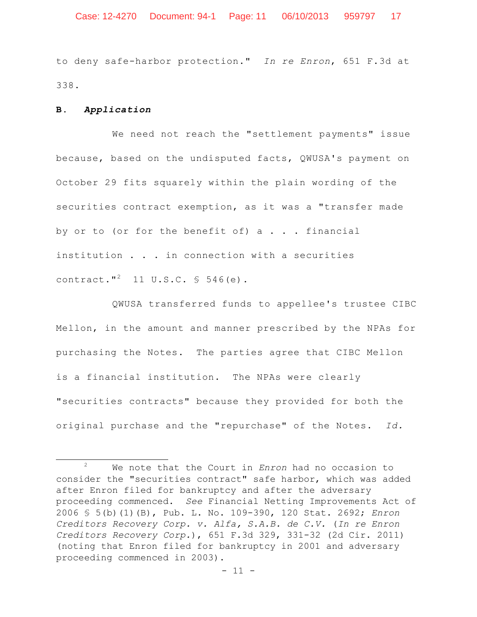to deny safe-harbor protection." *In re Enron*, 651 F.3d at 338.

#### **B.** *Application*

 $\overline{\phantom{a}}$ 

We need not reach the "settlement payments" issue because, based on the undisputed facts, QWUSA's payment on October 29 fits squarely within the plain wording of the securities contract exemption, as it was a "transfer made by or to (or for the benefit of)  $a \cdot \cdot \cdot$  financial institution . . . in connection with a securities contract."<sup>2</sup> 11 U.S.C.  $\frac{1}{5}$  546(e).

QWUSA transferred funds to appellee's trustee CIBC Mellon, in the amount and manner prescribed by the NPAs for purchasing the Notes. The parties agree that CIBC Mellon is a financial institution. The NPAs were clearly "securities contracts" because they provided for both the original purchase and the "repurchase" of the Notes. *Id.*

<sup>2</sup> We note that the Court in *Enron* had no occasion to consider the "securities contract" safe harbor, which was added after Enron filed for bankruptcy and after the adversary proceeding commenced. *See* Financial Netting Improvements Act of 2006 § 5(b)(1)(B), Pub. L. No. 109-390, 120 Stat. 2692; *Enron Creditors Recovery Corp. v. Alfa, S.A.B. de C.V.* (*In re Enron Creditors Recovery Corp.*), 651 F.3d 329, 331-32 (2d Cir. 2011) (noting that Enron filed for bankruptcy in 2001 and adversary proceeding commenced in 2003).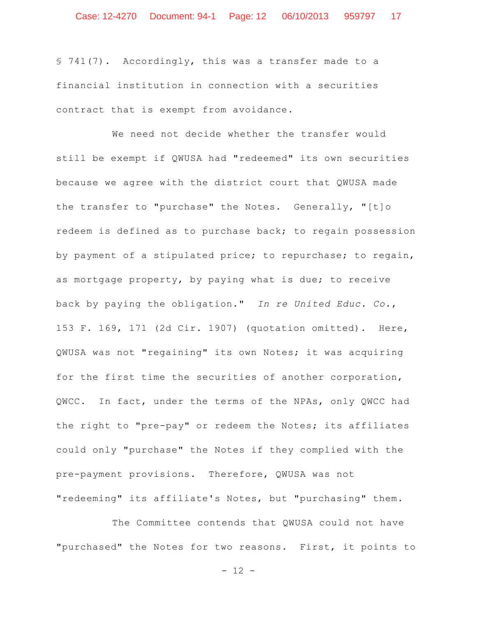§ 741(7). Accordingly, this was a transfer made to a financial institution in connection with a securities contract that is exempt from avoidance.

We need not decide whether the transfer would still be exempt if QWUSA had "redeemed" its own securities because we agree with the district court that QWUSA made the transfer to "purchase" the Notes. Generally, "[t]o redeem is defined as to purchase back; to regain possession by payment of a stipulated price; to repurchase; to regain, as mortgage property, by paying what is due; to receive back by paying the obligation." *In re United Educ. Co.*, 153 F. 169, 171 (2d Cir. 1907) (quotation omitted). Here, QWUSA was not "regaining" its own Notes; it was acquiring for the first time the securities of another corporation, QWCC. In fact, under the terms of the NPAs, only QWCC had the right to "pre-pay" or redeem the Notes; its affiliates could only "purchase" the Notes if they complied with the pre-payment provisions. Therefore, QWUSA was not "redeeming" its affiliate's Notes, but "purchasing" them.

The Committee contends that QWUSA could not have "purchased" the Notes for two reasons. First, it points to

- 12 -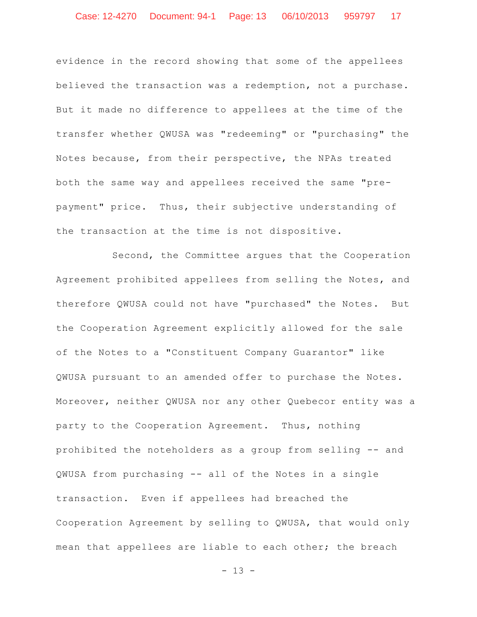evidence in the record showing that some of the appellees believed the transaction was a redemption, not a purchase. But it made no difference to appellees at the time of the transfer whether QWUSA was "redeeming" or "purchasing" the Notes because, from their perspective, the NPAs treated both the same way and appellees received the same "prepayment" price. Thus, their subjective understanding of the transaction at the time is not dispositive.

Second, the Committee argues that the Cooperation Agreement prohibited appellees from selling the Notes, and therefore QWUSA could not have "purchased" the Notes. But the Cooperation Agreement explicitly allowed for the sale of the Notes to a "Constituent Company Guarantor" like QWUSA pursuant to an amended offer to purchase the Notes. Moreover, neither QWUSA nor any other Quebecor entity was a party to the Cooperation Agreement. Thus, nothing prohibited the noteholders as a group from selling -- and QWUSA from purchasing -- all of the Notes in a single transaction. Even if appellees had breached the Cooperation Agreement by selling to QWUSA, that would only mean that appellees are liable to each other; the breach

- 13 -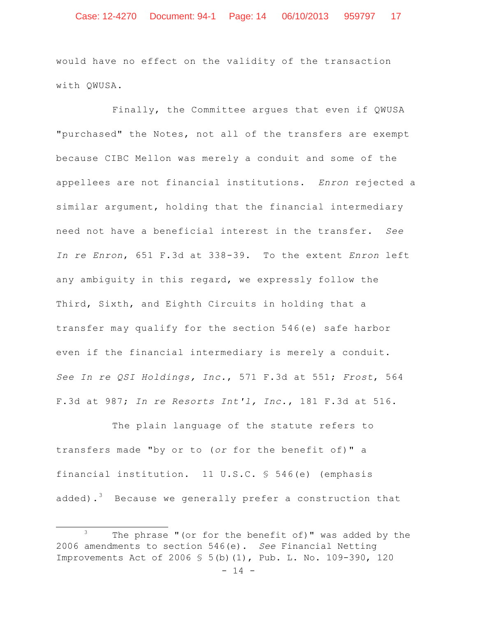would have no effect on the validity of the transaction with QWUSA.

Finally, the Committee argues that even if QWUSA "purchased" the Notes, not all of the transfers are exempt because CIBC Mellon was merely a conduit and some of the appellees are not financial institutions. *Enron* rejected a similar argument, holding that the financial intermediary need not have a beneficial interest in the transfer. *See In re Enron*, 651 F.3d at 338-39. To the extent *Enron* left any ambiguity in this regard, we expressly follow the Third, Sixth, and Eighth Circuits in holding that a transfer may qualify for the section 546(e) safe harbor even if the financial intermediary is merely a conduit. *See In re QSI Holdings, Inc.*, 571 F.3d at 551; *Frost*, 564 F.3d at 987; *In re Resorts Int'l, Inc.*, 181 F.3d at 516.

The plain language of the statute refers to transfers made "by or to (*or* for the benefit of)" a financial institution. 11 U.S.C. § 546(e) (emphasis added).<sup>3</sup> Because we generally prefer a construction that

 $\overline{a}$ 

 $3$  The phrase "(or for the benefit of)" was added by the 2006 amendments to section 546(e). *See* Financial Netting Improvements Act of 2006 § 5(b)(1), Pub. L. No. 109-390, 120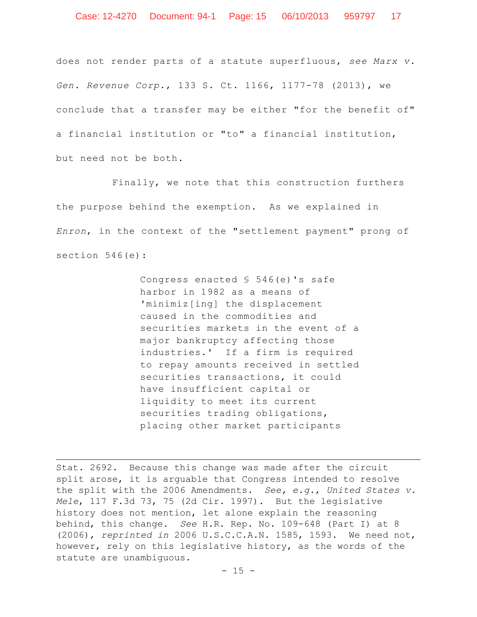does not render parts of a statute superfluous, *see Marx v. Gen. Revenue Corp.*, 133 S. Ct. 1166, 1177-78 (2013), we conclude that a transfer may be either "for the benefit of" a financial institution or "to" a financial institution, but need not be both.

Finally, we note that this construction furthers the purpose behind the exemption. As we explained in *Enron*, in the context of the "settlement payment" prong of section 546(e):

> Congress enacted § 546(e)'s safe harbor in 1982 as a means of 'minimiz[ing] the displacement caused in the commodities and securities markets in the event of a major bankruptcy affecting those industries.' If a firm is required to repay amounts received in settled securities transactions, it could have insufficient capital or liquidity to meet its current securities trading obligations, placing other market participants

Stat. 2692. Because this change was made after the circuit split arose, it is arguable that Congress intended to resolve the split with the 2006 Amendments. *See, e.g.*, *United States v. Mele*, 117 F.3d 73, 75 (2d Cir. 1997). But the legislative history does not mention, let alone explain the reasoning behind, this change. *See* H.R. Rep. No. 109-648 (Part I) at 8 (2006), *reprinted in* 2006 U.S.C.C.A.N. 1585, 1593. We need not, however, rely on this legislative history, as the words of the statute are unambiguous.

 $\overline{\phantom{a}}$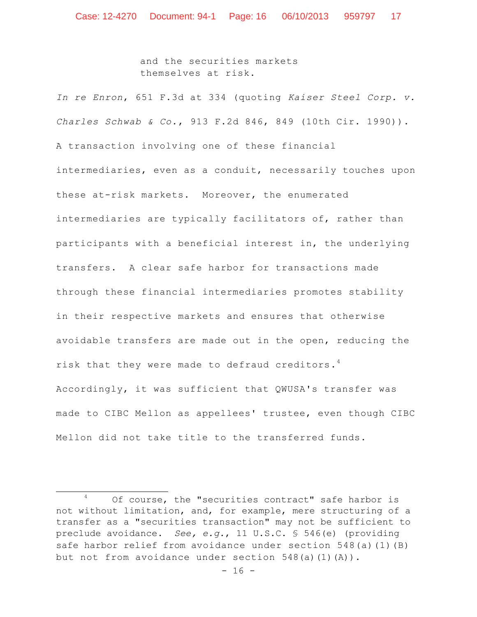and the securities markets themselves at risk.

*In re Enron*, 651 F.3d at 334 (quoting *Kaiser Steel Corp. v. Charles Schwab & Co.*, 913 F.2d 846, 849 (10th Cir. 1990)). A transaction involving one of these financial intermediaries, even as a conduit, necessarily touches upon these at-risk markets. Moreover, the enumerated intermediaries are typically facilitators of, rather than participants with a beneficial interest in, the underlying transfers. A clear safe harbor for transactions made through these financial intermediaries promotes stability in their respective markets and ensures that otherwise avoidable transfers are made out in the open, reducing the risk that they were made to defraud creditors.<sup>4</sup> Accordingly, it was sufficient that QWUSA's transfer was made to CIBC Mellon as appellees' trustee, even though CIBC Mellon did not take title to the transferred funds.

 $\overline{\phantom{a}}$ 

<sup>4</sup> Of course, the "securities contract" safe harbor is not without limitation, and, for example, mere structuring of a transfer as a "securities transaction" may not be sufficient to preclude avoidance. *See, e.g.*, 11 U.S.C. § 546(e) (providing safe harbor relief from avoidance under section 548(a)(1)(B) but not from avoidance under section  $548(a)(1)(A)$ .